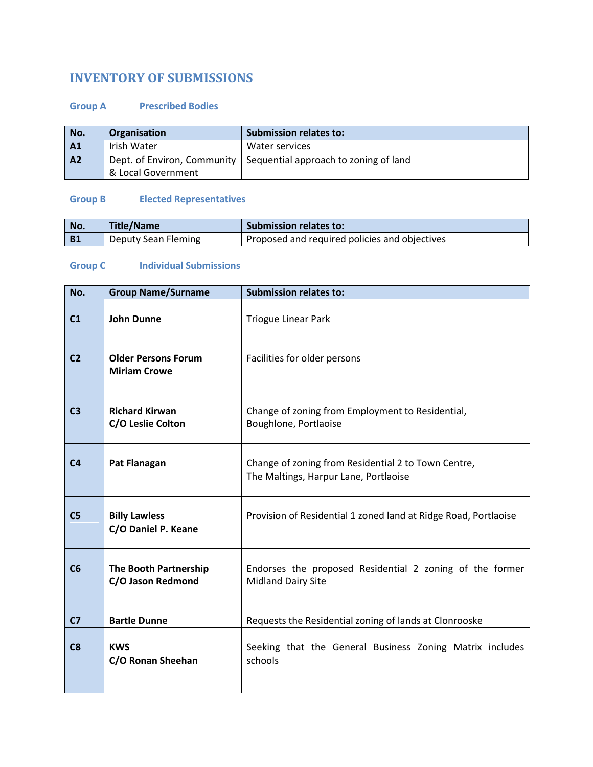## **INVENTORY OF SUBMISSIONS**

## **Group A Prescribed Bodies**

| No.            | Organisation                | <b>Submission relates to:</b>         |
|----------------|-----------------------------|---------------------------------------|
| A1             | Irish Water                 | Water services                        |
| A <sub>2</sub> | Dept. of Environ, Community | Sequential approach to zoning of land |
|                | & Local Government          |                                       |

## **Group B Elected Representatives**

| l No. | <b>Title/Name</b>   | <b>Submission relates to:</b>                 |
|-------|---------------------|-----------------------------------------------|
| B1    | Deputy Sean Fleming | Proposed and required policies and objectives |

## **Group C Individual Submissions**

| No.            | <b>Group Name/Surname</b>                         | <b>Submission relates to:</b>                                                                |
|----------------|---------------------------------------------------|----------------------------------------------------------------------------------------------|
| C <sub>1</sub> | <b>John Dunne</b>                                 | <b>Triogue Linear Park</b>                                                                   |
| C <sub>2</sub> | <b>Older Persons Forum</b><br><b>Miriam Crowe</b> | Facilities for older persons                                                                 |
| C <sub>3</sub> | <b>Richard Kirwan</b><br>C/O Leslie Colton        | Change of zoning from Employment to Residential,<br>Boughlone, Portlaoise                    |
| C <sub>4</sub> | <b>Pat Flanagan</b>                               | Change of zoning from Residential 2 to Town Centre,<br>The Maltings, Harpur Lane, Portlaoise |
| C <sub>5</sub> | <b>Billy Lawless</b><br>C/O Daniel P. Keane       | Provision of Residential 1 zoned land at Ridge Road, Portlaoise                              |
| C6             | <b>The Booth Partnership</b><br>C/O Jason Redmond | Endorses the proposed Residential 2 zoning of the former<br><b>Midland Dairy Site</b>        |
| C <sub>7</sub> | <b>Bartle Dunne</b>                               | Requests the Residential zoning of lands at Clonrooske                                       |
| C8             | <b>KWS</b><br>C/O Ronan Sheehan                   | Seeking that the General Business Zoning Matrix includes<br>schools                          |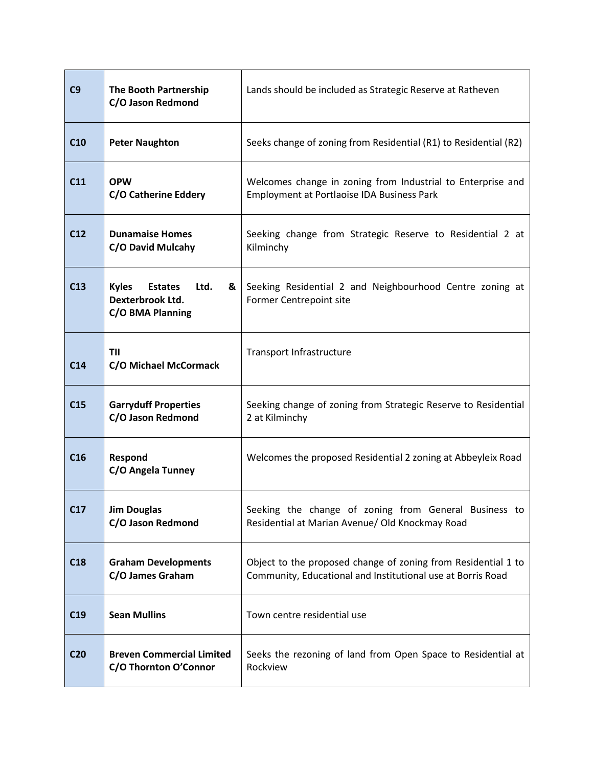| C9              | The Booth Partnership<br>C/O Jason Redmond                                          | Lands should be included as Strategic Reserve at Ratheven                                                                    |
|-----------------|-------------------------------------------------------------------------------------|------------------------------------------------------------------------------------------------------------------------------|
| C10             | <b>Peter Naughton</b>                                                               | Seeks change of zoning from Residential (R1) to Residential (R2)                                                             |
| C11             | <b>OPW</b><br>C/O Catherine Eddery                                                  | Welcomes change in zoning from Industrial to Enterprise and<br>Employment at Portlaoise IDA Business Park                    |
| C12             | <b>Dunamaise Homes</b><br>C/O David Mulcahy                                         | Seeking change from Strategic Reserve to Residential 2 at<br>Kilminchy                                                       |
| C13             | <b>Kyles</b><br><b>Estates</b><br>Ltd.<br>&<br>Dexterbrook Ltd.<br>C/O BMA Planning | Seeking Residential 2 and Neighbourhood Centre zoning at<br>Former Centrepoint site                                          |
| C14             | <b>TII</b><br>C/O Michael McCormack                                                 | Transport Infrastructure                                                                                                     |
| C15             | <b>Garryduff Properties</b><br>C/O Jason Redmond                                    | Seeking change of zoning from Strategic Reserve to Residential<br>2 at Kilminchy                                             |
| C16             | Respond<br>C/O Angela Tunney                                                        | Welcomes the proposed Residential 2 zoning at Abbeyleix Road                                                                 |
| C17             | <b>Jim Douglas</b><br>C/O Jason Redmond                                             | Seeking the change of zoning from General Business to<br>Residential at Marian Avenue/ Old Knockmay Road                     |
| C18             | <b>Graham Developments</b><br>C/O James Graham                                      | Object to the proposed change of zoning from Residential 1 to<br>Community, Educational and Institutional use at Borris Road |
| C19             | <b>Sean Mullins</b>                                                                 | Town centre residential use                                                                                                  |
| C <sub>20</sub> | <b>Breven Commercial Limited</b><br>C/O Thornton O'Connor                           | Seeks the rezoning of land from Open Space to Residential at<br>Rockview                                                     |